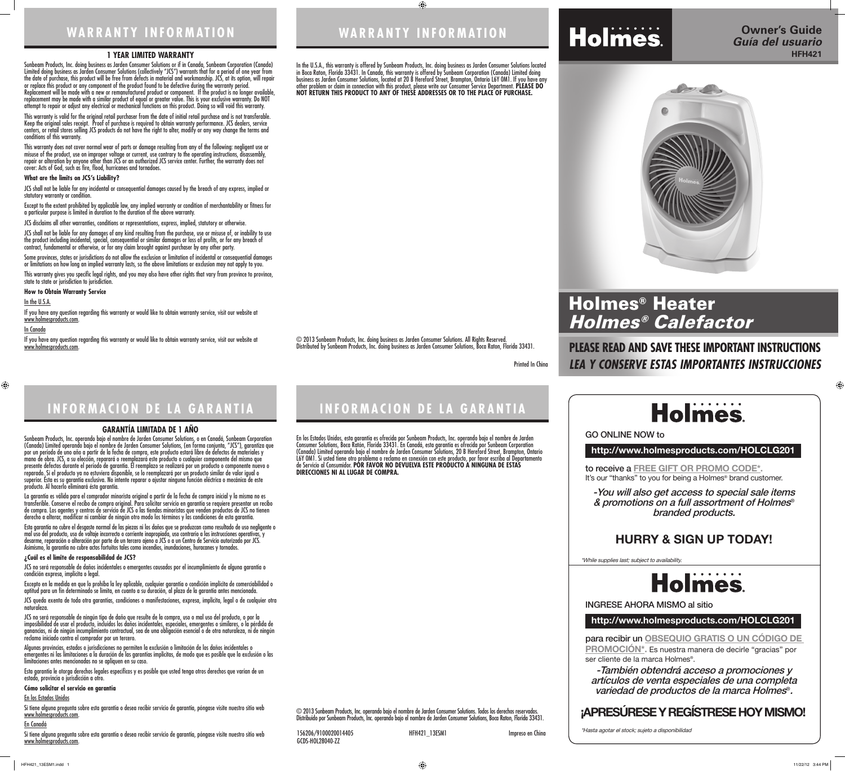# **PLEASE READ AND SAVE THESE IMPORTANT INSTRUCTIONS** *LEA Y CONSERVE ESTAS IMPORTANTES INSTRUCCIONES*



to receive a **FREE GIFT OR PROMO CODE\*.** It's our "thanks" to you for being a Holmes<sup>®</sup> brand customer.



### **http://www.holmesproducts.com/HOLCLG201**

para recibir un **OBSEQUIO GRATIS O UN CÓDIGO DE PROMOCIÓN\*.** Es nuestra manera de decirle "gracias" por ser cliente de la marca Holmes®.

**http://www.holmesproducts.com/HOLCLG201**

GO ONLINE NOW to

INGRESE AHORA MISMO al sitio

-You will also get access to special sale items & promotions on a full assortment of Holmes® branded products.

-También obtendrá acceso a promociones y artículos de venta especiales de una completa variedad de productos de la marca Holmes®.

\*While supplies last; subject to availability.





# **Holmes**

\*Hasta agotar el stock; sujeto a disponibilidad

 $\bigoplus$ 

## **HURRY & SIGN UP TODAY!**

# **Holmes**

## **¡APRESÚRESE Y REGÍSTRESE HOY MISMO!**

# Holmes® Heater Holmes® Calefactor

**WARRANTY INFORMATION**

 $\bigoplus$ 

Printed In China

© 2013 Sunbeam Products, Inc. doing business as Jarden Consumer Solutions. All Rights Reserved. Distributed by Sunbeam Products, Inc. doing business as Jarden Consumer Solutions, Boca Raton, Florida 33431.

# **INFORMACION DE LA GARANTIA**

### **1 YEAR LIMITED WARRANTY**

Sunbeam Products, Inc. doing business as Jarden Consumer Solutions or if in Canada, Sunbeam Corporation (Canada) Limited doing business as Jarden Consumer Solutions (collectively "JCS") warrants that for a period of one year from the date of purchase, this product will be free from defects in material and workmanship. JCS, at its option, will repair or replace this product or any component of the product found to be defective during the warranty period. Replacement will be made with a new or remanufactured product or component. If the product is no longer available, replacement may be made with a similar product of equal or greater value. This is your exclusive warranty. Do NOT attempt to repair or adjust any electrical or mechanical functions on this product. Doing so will void this warranty.

Some provinces, states or jurisdictions do not allow the exclusion or limitation of incidental or consequential damages or limitations on how long an implied warranty lasts, so the above limitations or exclusion may not apply to you.

If you have any question regarding this warranty or would like to obtain warranty service, visit our website at www.holmesproducts.com.

This warranty is valid for the original retail purchaser from the date of initial retail purchase and is not transferable. Keep the original sales receipt. Proof of purchase is required to obtain warranty performance. JCS dealers, service centers, or retail stores selling JCS products do not have the right to alter, modify or any way change the terms and conditions of this warranty.

This warranty does not cover normal wear of parts or damage resulting from any of the following: negligent use or misuse of the product, use on improper voltage or current, use contrary to the operating instructions, disassembly, repair or alteration by anyone other than JCS or an authorized JCS service center. Further, the warranty does not cover: Acts of God, such as fire, flood, hurricanes and tornadoes.

### **What are the limits on JCS's Liability?**

JCS shall not be liable for any incidental or consequential damages caused by the breach of any express, implied or statutory warranty or condition.

Except to the extent prohibited by applicable law, any implied warranty or condition of merchantability or fitness for a particular purpose is limited in duration to the duration of the above warranty.

JCS disclaims all other warranties, conditions or representations, express, implied, statutory or otherwise.

JCS shall not be liable for any damages of any kind resulting from the purchase, use or misuse of, or inability to use the product including incidental, special, consequential or similar damages or loss of profits, or for any breach of contract, fundamental or otherwise, or for any claim brought against purchaser by any other party.

This warranty gives you specific legal rights, and you may also have other rights that vary from province to province, state to state or jurisdiction to jurisdiction.

**How to Obtain Warranty Service**

### In the U.S.A.

### In Canada

 $\bigoplus$ 

If you have any question regarding this warranty or would like to obtain warranty service, visit our website at www.holmesproducts.com.

### **GARANTÍA LIMITADA DE 1 AÑO**

Sunbeam Products, Inc. operando bajo el nombre de Jarden Consumer Solutions, o en Canadá, Sunbeam Corporation (Canada) Limited operando bajo el nombre de Jarden Consumer Solutions, (en forma conjunta, "JCS"), garantiza que por un período de uno año a partir de la fecha de compra, este producto estará libre de defectos de materiales y mano de obra. JCS, a su elección, reparará o reemplazará este producto o cualquier componente del mismo que presente defectos durante el período de garantía. El reemplazo se realizará por un producto o componente nuevo o reparado. Si el producto ya no estuviera disponible, se lo reemplazará por un producto similar de valor igual o superior. Ésta es su garantía exclusiva. No intente reparar o ajustar ninguna función eléctrica o mecánica de este producto. Al hacerlo elimínará ésta garantía.

La garantía es válida para el comprador minorista original a partir de la fecha de compra inicial y la misma no es transferible. Conserve el recibo de compra original. Para solicitar servicio en garantía se requiere presentar un recibo de compra. Los agentes y centros de servicio de JCS o las tiendas minoristas que venden productos de JCS no tienen derecho a alterar, modificar ni cambiar de ningún otro modo los términos y las condiciones de esta garantía.

Esta garantía no cubre el desgaste normal de las piezas ni los daños que se produzcan como resultado de uso negligente o mal uso del producto, uso de voltaje incorrecto o corriente inapropiada, uso contrario a las instrucciones operativas, y desarme, reparación o alteración por parte de un tercero ajeno a JCS o a un Centro de Servicio autorizado por JCS. Asimismo, la garantía no cubre actos fortuitos tales como incendios, inundaciones, huracanes y tornados.

### **¿Cuál es el límite de responsabilidad de JCS?**

JCS no será responsable de daños incidentales o emergentes causados por el incumplimiento de alguna garantía o condición expresa, implícita o legal.

Excepto en la medida en que lo prohíba la ley aplicable, cualquier garantía o condición implícita de comerciabilidad o aptitud para un fin determinado se limita, en cuanto a su duración, al plazo de la garantía antes mencionada.

JCS queda exenta de toda otra garantías, condiciones o manifestaciones, expresa, implícita, legal o de cualquier otra naturaleza.

JCS no será responsable de ningún tipo de daño que resulte de la compra, uso o mal uso del producto, o por la imposibilidad de usar el producto, incluidos los daños incidentales, especiales, emergentes o similares, o la pérdida de ganancias, ni de ningún incumplimiento contractual, sea de una obligación esencial o de otra naturaleza, ni de ningún reclamo iniciado contra el comprador por un tercero.

Algunas provincias, estados o jurisdicciones no permiten la exclusión o limitación de los daños incidentales o emergentes ni las limitaciones a la duración de las garantías implícitas, de modo que es posible que la exclusión o las limitaciones antes mencionadas no se apliquen en su caso.

Esta garantía le otorga derechos legales específicos y es posible que usted tenga otros derechos que varían de un estado, provincia o jurisdicción a otro.

### **Cómo solicitar el servicio en garantía**

### En los Estados Unidos

Si tiene alguna pregunta sobre esta garantía o desea recibir servicio de garantía, póngase visite nuestro sitio web www.holmesproducts.com.

### En Canadá

Si tiene alguna pregunta sobre esta garantía o desea recibir servicio de garantía, póngase visite nuestro sitio web www.holmesproducts.com.

# **WARRANTY INFORMATION**

# **INFORMACION DE LA GARANTIA**

In the U.S.A., this warranty is offered by Sunbeam Products, Inc. doing business as Jarden Consumer Solutions located



### in Boca Raton, Florida 33431. In Canada, this warranty is offered by Sunbeam Corporation (Canada) Limited doing business as Jarden Consumer Solutions, located at 20 B Hereford Street, Brampton, Ontario L6Y 0M1. If you have any other problem or claim in connection with this product, please write our Consumer Service Department. **PLEASE DO NOT RETURN THIS PRODUCT TO ANY OF THESE ADDRESSES OR TO THE PLACE OF PURCHASE.**

En los Estados Unidos, esta garantía es ofrecida por Sunbeam Products, Inc. operando bajo el nombre de Jarden Consumer Solutions, Boca Ratón, Florida 33431. En Canadá, esta garantía es ofrecida por Sunbeam Corporation (Canada) Limited operando bajo el nombre de Jarden Consumer Solutions, 20 B Hereford Street, Brampton, Ontario L6Y 0M1. Si usted tiene otro problema o reclamo en conexión con este producto, por favor escriba al Departamento de Servicio al Consumidor. **POR FAVOR NO DEVUELVA ESTE PRODUCTO A NINGUNA DE ESTAS DIRECCIONES NI AL LUGAR DE COMPRA.**

© 2013 Sunbeam Products, Inc. operando bajo el nombre de Jarden Consumer Solutions. Todos los derechos reservados. Distribuido por Sunbeam Products, Inc. operando bajo el nombre de Jarden Consumer Solutions, Boca Raton, Florida 33431.

156206/9100020014405 HFH421\_13ESM1 Impreso en China

GCDS-HOL28040-ZZ